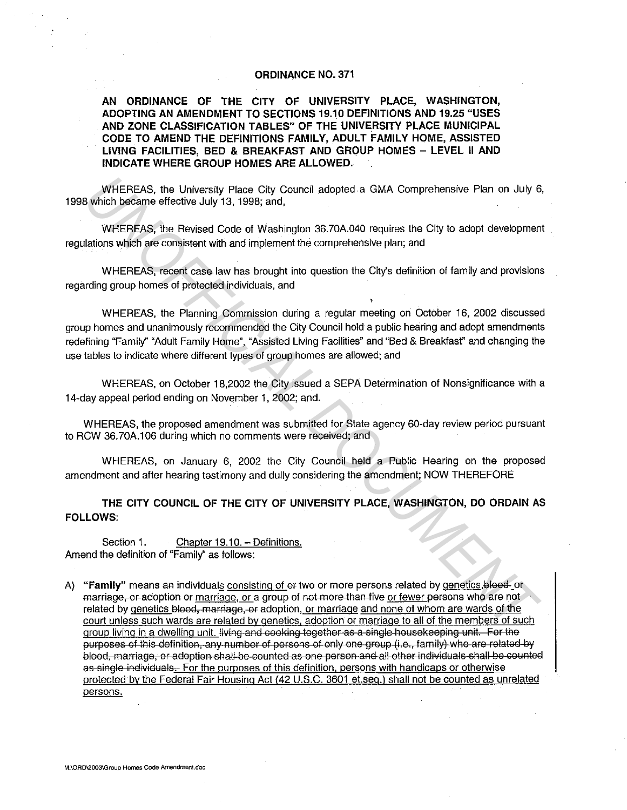## **ORDINANCE NO. 371**

**AN ORDINANCE OF THE CITY OF UNIVERSITY PLACE, WASHINGTON, ADOPTING AN AMENDMENT TO SECTIONS 19.10 DEFINITIONS AND 19.25 "USES AND ZONE CLASSIFICATION TABLES" OF THE UNIVERSITY PLACE MUNICIPAL CODE TO AMEND THE DEFINITIONS FAMILY, ADULT FAMILY HOME, ASSISTED LIVING FACILITIES, BED & BREAKFAST AND GROUP HOMES - LEVEL II AND INDICATE WHERE GROUP HOMES ARE ALLOWED.** 

WHEREAS, the University Place City Council adopted a GMA Comprehensive Plan on July 6, 1998 which became effective July 13, 1998; and,

WHEREAS, the Revised Code of Washington 36.?0A.040 requires the City to adopt development regulations which are consistent with and implement the comprehensive plan; and

WHEREAS, recent case law has brought into question the City's definition of family and provisions regarding group homes of protected individuals, and

WHEREAS, the Planning Commission during a regular meeting on October 16, 2002 discussed group homes and unanimously recommended the City Council hold a public hearing and adopt amendments redefining "Family" "Adult Family Home", "Assisted Living Facilities" and "Bed & Breakfasf' and changing the use tables to indicate where different types of group homes are allowed; and

WHEREAS, on October 18,2002 the City issued a SEPA Determination of Nonsignificance with a 14-day appeal period ending on November 1, 2002; and.

WHEREAS, the proposed amendment was submitted for State agency 60-day review period pursuant to RCW 36.?0A.106 during which no comments were received; and

WHEREAS, on January 6, 2002 the City Council held a Public Hearing on the proposed amendment and after hearing testimony and dully considering the amendment; NOW THEREFORE

**THE CITY COUNCIL OF THE CITY OF UNIVERSITY PLACE, WASHINGTON, DO ORDAIN AS FOLLOWS:** 

Section 1. Chapter 19.10. - Definitions. Amend the definition of "Family" as follows:

A) "Family" means an individuals consisting of or two or more persons related by genetics, blood-or marriage, or adoption or marriage, or a group of not more than five or fewer persons who are not related by genetics blood, marriage, or adoption, or marriage and none of whom are wards of the court unless such wards are related by genetics, adoption or marriage to all of the members of such group living in a dwelling unit. living and cooking together as a single housekeeping unit. For the purposes of this definition, any number of persons of only one group (i.e., family) who are related by blood, marriage, or adoption shall be counted as one person and all other individuals shall be counted as single individuals. For the purposes of this definition, persons with handicaps or otherwise protected by the Federal Fair Housing Act (42 U.S.C. 3601 et.seq.) shall not be counted as unrelated persons. WHEREAS, the University Place Gity Council adopted a GMA Comprehensive Plan on July 6<br>
WHEREAS, the Revised Code of Washington 36.70A.040 requires the City to adopt development<br>
WHEREAS, recent with and implement the compr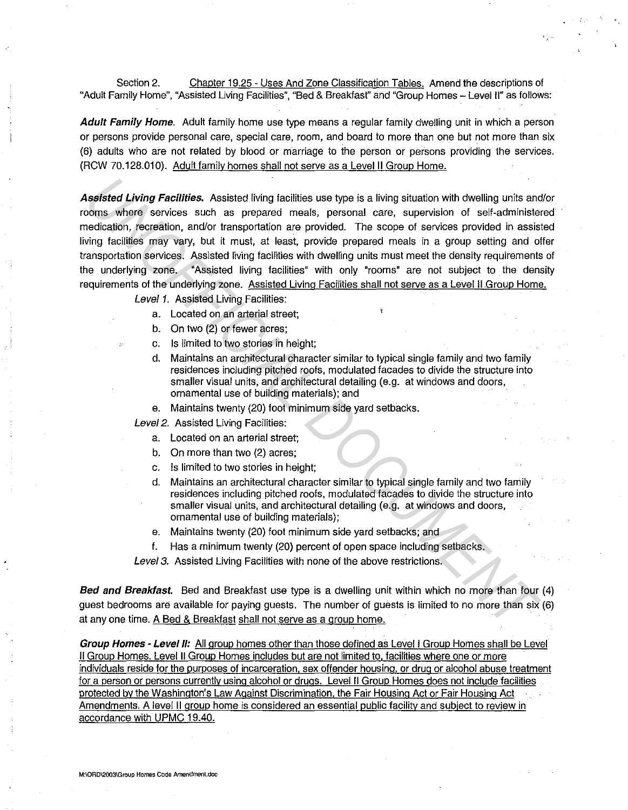Section 2. Chapter 19.25 - Uses And Zone Classification Tables. Amend the descriptions of "Adult Family Home", "Assisted Living Facilities", "Bed & Breakfasf' and "Group Homes - Level II" as follows:

·,··

**Adult Family Home.** Adult family home use type means a regular family dwelling unit in which a person or persons provide personal care, special care, room, and board to more than one but not more than six (6) adults who are not related by blood or marriage to the person or persons providing the services. (RCW 70.128.010). Adult family homes shall not serve as a Level II Group Home.

**Assisted Living Facilities.** Assisted living facilities use type is a living situation with dwelling units and/or rooms where services such as prepared meals, personal care, supervision of self-administered medication, recreation, and/or transportation are provided. The scope of services provided in assisted living facilities may vary, but it must, at least, provide prepared meals in a group setting and offer transportation services. Assisted living facilities with dwelling units must meet the density requirements of the underlying zone. "Assisted living facilities" with only "rooms" are not subject to the density requirements of the underlying zone. Assisted Living Facilities shall not serve as a Level II Group Home. **Uniterpolyniate** Assisted Uning facilities use type is a living situation with dwelling units and<br>comes where services such as prepared meals, personal care, supervision of self-administer<br>ordination, recention, and/or tr

Level 1. Assisted Living Facilities:

- a. Located on an arterial street;
- b. On two (2) or fewer acres;
- c. Is limited to two stories in height;
- d. Maintains an architectural character similar to typical single family and two family residences including pitched roofs, modulated facades to divide the structure into smaller visual units, and architectural detailing (e.g. at windows and doors, ornamental use of building materials); and
- e. Maintains twenty (20) foot minimum side yard setbacks.

Level 2. Assisted Living Facilities:

- a. Located on an arterial street;
- b. On more than two (2) acres;
- c. Is limited to two stories in height;
- d. Maintains an architectural character similar to typical single family and two family residences including pitched roofs, modulated facades to divide the structure into smaller visual units, and architectural detailing (e.g. at windows and doors, ornamental use of building materials);
- e. Maintains twenty (20) foot minimum side yard setbacks; and
- f. Has a minimum twenty (20) percent of open space including setbacks.

Level 3. Assisted Living Facilities with none of the above restrictions.

**Bed and Breakfast.** Bed and Breakfast use type is a dwelling unit within which no more than four (4) guest bedrooms are available for paying guests. The number of guests is limited to no more than six (6) at any one time. A Bed & Breakfast shall not serve as a group home.

**Group Homes - Level//:** All group homes other than those defined as Level I Group Homes shall be Level II Group Homes. Level II Group Homes includes but are not limited to, facilities where one or more individuals reside for the purposes of incarceration. sex offender housing, or drug or alcohol abuse treatment for a person or persons currently using alcohol or drugs. Level II Group Homes does not include facilities protected by the Washington's Law Against Discrimination, the Fair Housing Act or Fair Housing Act Amendments. A level 11 group home is considered an essential public facility and subject to review in accordance with UPMC 19.40.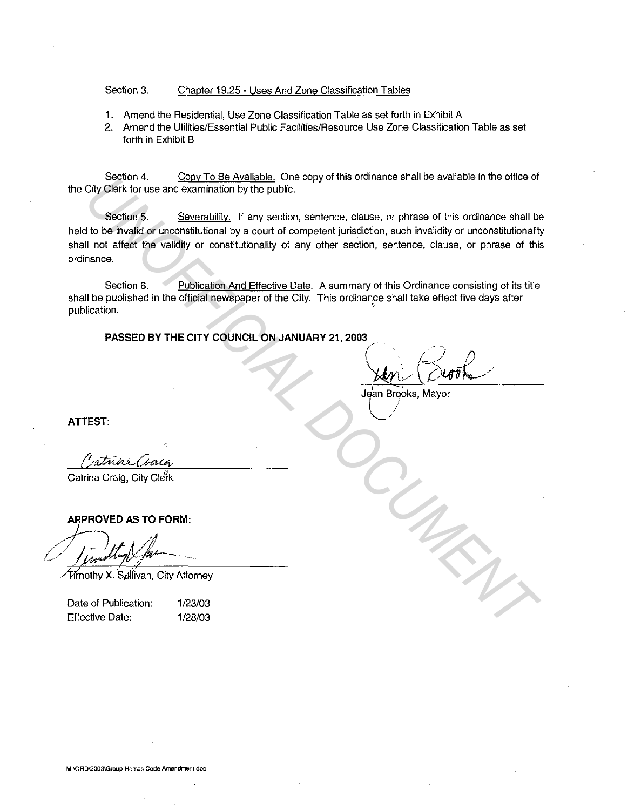## Section 3. Chapter 19.25 - Uses And Zone Classification Tables

- **1.** Amend the Residential, Use Zone Classification Table as set forth in Exhibit A
- 2. Amend the Utilities/Essential Public Facilities/Resource Use Zone Classification Table as set forth in Exhibit B

Section 4. Copy To Be Available. One copy of this ordinance shall be available in the office of the City Clerk for use and examination by the public.

Section 5. Severability. If any section, sentence, clause, or phrase of this ordinance shall be held to be invalid or unconstitutional by a court of competent jurisdiction, such invalidity or unconstitutionality shall not affect the validity or constitutionality of any other section, sentence, clause, or phrase of this ordinance. Section 4. Covy Lote Meaning Content the Content of the Covy of the order of the order of the order of the order of the order of the order of the order of the order of the order of the order of the order of the order of th

Section 6. Publication And Effective Date. A summary of this Ordinance consisting of its title shall be published in the official newspaper of the City. This ordinance shall take effect five days after publication.

**PASSED BY THE CITY COUNCIL ON JANUARY 21, 2003** 

 $\bigcap_{i=1}^n$   $\bigcap_{i=1}^n$  $\chi$ 

Jean Brooks, Mayor

**ATTEST:** 

Catrina Craig, City Cle¥k

**A7PROVED AS TO FORM:** 

{~)---*......•.* 

/];frnothy X. Sp"ii'ivan, City Attorney

Date of Publication: Effective Date:

1/23/03 1/28/03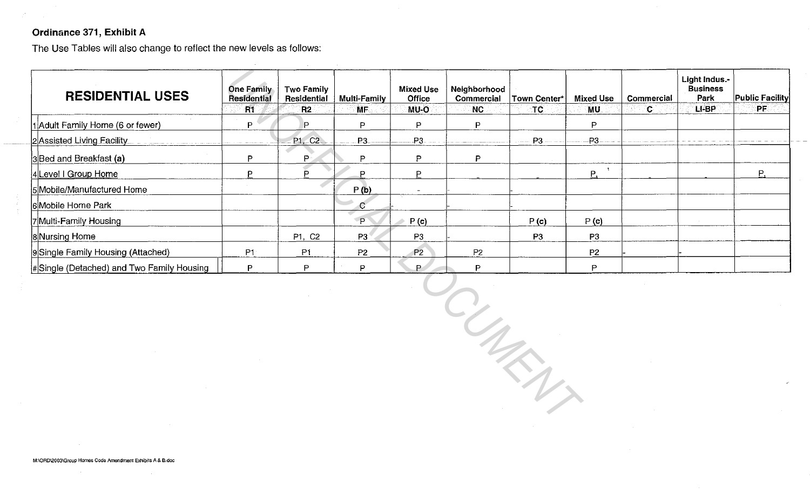## Ordinance 371, Exhibit A

The Use Tables will also change to reflect the new levels as follows:

| <b>RESIDENTIAL USES</b>                   | <b>One Family</b><br>Residential | <b>Two Family</b><br>Residential | Multi-Family   | <b>Mixed Use</b><br><b>Office</b> | Neighborhood<br>Commercial | <b>Town Center*</b> | <b>Mixed Use</b> | <b>Commercial</b> | Light indus.-<br><b>Business</b><br>Park | Public Facility |
|-------------------------------------------|----------------------------------|----------------------------------|----------------|-----------------------------------|----------------------------|---------------------|------------------|-------------------|------------------------------------------|-----------------|
|                                           | R1                               | R <sub>2</sub>                   | MF.            | MU-O                              | NC.                        | TC                  | MU.              | ିଠା               | LI-BP                                    | PF.             |
| 1 Adult Family Home (6 or fewer)          | ח                                |                                  | P              | P                                 | P                          |                     | P                |                   |                                          |                 |
| 2 Assisted Living Facility                |                                  | P1, C2                           | P <sub>3</sub> | $-P3-$                            |                            | P3                  | <b>P3</b>        |                   |                                          |                 |
| $ 3 $ Bed and Breakfast (a)               | D                                | P.                               | P              | P                                 | P                          |                     |                  |                   |                                          |                 |
| 4 Level I Group Home                      |                                  | D                                |                | P                                 |                            |                     | Ρ.               |                   |                                          | Р.              |
| 5 Mobile/Manufactured Home                |                                  |                                  | P(b)           |                                   |                            |                     |                  |                   |                                          |                 |
| 6Mobile Home Park                         |                                  |                                  | C              |                                   |                            |                     |                  |                   |                                          |                 |
| 7Multi-Family Housing                     |                                  |                                  | P              | P(c)                              |                            | P(c)                | P(c)             |                   |                                          |                 |
| 8Nursing Home                             |                                  | P1, C2                           | P3             | P3                                |                            | P3                  | P3               |                   |                                          |                 |
| 9 Single Family Housing (Attached)        | P <sub>1</sub>                   | P <sub>1</sub>                   | P <sub>2</sub> | P <sub>2</sub>                    | P <sub>2</sub>             |                     | P <sub>2</sub>   |                   |                                          |                 |
| #Single (Detached) and Two Family Housing |                                  | D                                | P              | P.                                | Þ                          |                     | D                |                   |                                          |                 |

*UNOFFICIAL DOCUMENT*